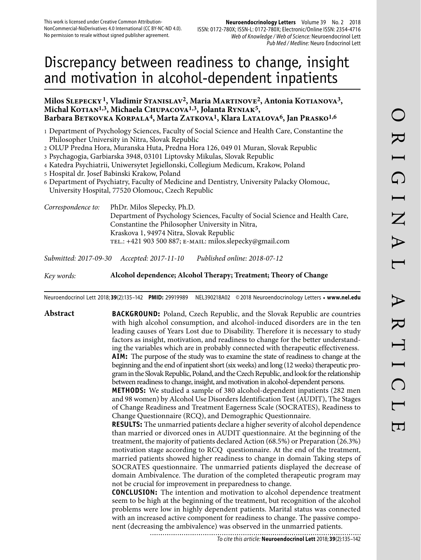# Discrepancy between readiness to change, insight and motivation in alcohol-dependent inpatients

## **Milos Slepecky 1, Vladimir Stanislav2, Maria Martinove2, Antonia Kotianova3,**  Michal KOTIAN<sup>1,3</sup>, Michaela CHUPACOVA<sup>1,3</sup>, Jolanta RYNIAK<sup>5</sup>, Barbara Betkovka Korpala<sup>4</sup>, Marta Zatkova<sup>1</sup>, Klara Latalova<sup>6</sup>, Jan Prasko<sup>1,6</sup>

- 1 Department of Psychology Sciences, Faculty of Social Science and Health Care, Constantine the Philosopher University in Nitra, Slovak Republic
- 2 OLUP Predna Hora, Muranska Huta, Predna Hora 126, 049 01 Muran, Slovak Republic
- 3 Psychagogia, Garbiarska 3948, 03101 Liptovsky Mikulas, Slovak Republic
- 4 Katedra Psychiatrii, Uniwersytet Jegiellonski, Collegium Medicum, Krakow, Poland
- 5 Hospital dr. Josef Babinski Krakow, Poland
- 6 Department of Psychiatry, Faculty of Medicine and Dentistry, University Palacky Olomouc, University Hospital, 77520 Olomouc, Czech Republic

*Correspondence to:* PhDr. Milos Slepecky, Ph.D. Department of Psychology Sciences, Faculty of Social Science and Health Care, Constantine the Philosopher University in Nitra, Kraskova 1, 94974 Nitra, Slovak Republic tel.: +421 903 500 887; e-mail: milos.slepecky@gmail.com *Submitted: 2017-09-30 Accepted: 2017-11-10 Published online: 2018-07-12*

*Key words:* **Alcohol dependence; Alcohol Therapy; Treatment; Theory of Change**

Neuroendocrinol Lett 2018; **39**(2):135–142 **PMID:** 29919989 NEL390218A02 © 2018 Neuroendocrinology Letters • **www.nel.edu**

## **Abstract BACKGROUND:** Poland, Czech Republic, and the Slovak Republic are countries with high alcohol consumption, and alcohol-induced disorders are in the ten leading causes of Years Lost due to Disability. Therefore it is necessary to study factors as insight, motivation, and readiness to change for the better understanding the variables which are in probably connected with therapeutic effectiveness. **AIM:** The purpose of the study was to examine the state of readiness to change at the beginning and the end of inpatient short (six weeks) and long (12 weeks) therapeutic program in the Slovak Republic, Poland, and the Czech Republic, and look for the relationship between readiness to change, insight, and motivation in alcohol-dependent persons.

**METHODS:** We studied a sample of 380 alcohol-dependent inpatients (282 men and 98 women) by Alcohol Use Disorders Identification Test (AUDIT), The Stages of Change Readiness and Treatment Eagerness Scale (SOCRATES), Readiness to Change Questionnaire (RCQ), and Demographic Questionnaire.

**RESULTS:** The unmarried patients declare a higher severity of alcohol dependence than married or divorced ones in AUDIT questionnaire. At the beginning of the treatment, the majority of patients declared Action (68.5%) or Preparation (26.3%) motivation stage according to RCQ questionnaire. At the end of the treatment, married patients showed higher readiness to change in domain Taking steps of SOCRATES questionnaire. The unmarried patients displayed the decrease of domain Ambivalence. The duration of the completed therapeutic program may not be crucial for improvement in preparedness to change.

**CONCLUSION:** The intention and motivation to alcohol dependence treatment seem to be high at the beginning of the treatment, but recognition of the alcohol problems were low in highly dependent patients. Marital status was connected with an increased active component for readiness to change. The passive component (decreasing the ambivalence) was observed in the unmarried patients. ...........................

To cite this article: **Neuroendocrinol Lett** 2018; **39**(2):135–142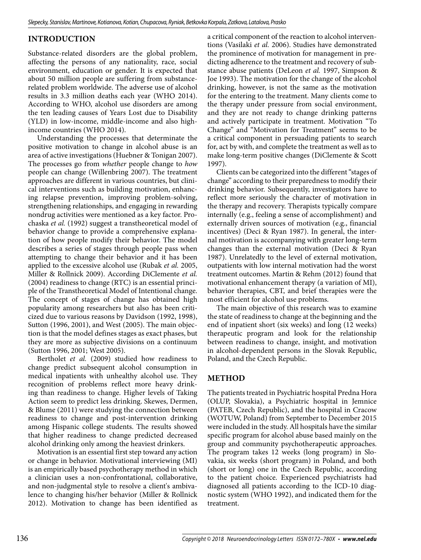# **INTRODUCTION**

Substance-related disorders are the global problem, affecting the persons of any nationality, race, social environment, education or gender. It is expected that about 50 million people are suffering from substancerelated problem worldwide. The adverse use of alcohol results in 3.3 million deaths each year (WHO 2014). According to WHO, alcohol use disorders are among the ten leading causes of Years Lost due to Disability (YLD) in low-income, middle-income and also highincome countries (WHO 2014).

Understanding the processes that determinate the positive motivation to change in alcohol abuse is an area of active investigations (Huebner & Tonigan 2007). The processes go from *whether* people change to *how*  people can change (Willenbring 2007). The treatment approaches are different in various countries, but clinical interventions such as building motivation, enhancing relapse prevention, improving problem-solving, strengthening relationships, and engaging in rewarding nondrug activities were mentioned as a key factor. Prochaska *et al.* (1992) suggest a transtheoretical model of behavior change to provide a comprehensive explanation of how people modify their behavior. The model describes a series of stages through people pass when attempting to change their behavior and it has been applied to the excessive alcohol use (Rubak *et al.* 2005, Miller & Rollnick 2009). According DiClemente *et al.* (2004) readiness to change (RTC) is an essential principle of the Transtheoretical Model of Intentional change. The concept of stages of change has obtained high popularity among researchers but also has been criticized due to various reasons by Davidson (1992, 1998), Sutton (1996, 2001), and West (2005). The main objection is that the model defines stages as exact phases, but they are more as subjective divisions on a continuum (Sutton 1996, 2001; West 2005).

Bertholet *et al.* (2009) studied how readiness to change predict subsequent alcohol consumption in medical inpatients with unhealthy alcohol use. They recognition of problems reflect more heavy drinking than readiness to change. Higher levels of Taking Action seem to predict less drinking. Skewes, Dermen, & Blume (2011) were studying the connection between readiness to change and post-intervention drinking among Hispanic college students. The results showed that higher readiness to change predicted decreased alcohol drinking only among the heaviest drinkers.

Motivation is an essential first step toward any action or change in behavior. Motivational interviewing (MI) is an empirically based psychotherapy method in which a clinician uses a non-confrontational, collaborative, and non-judgmental style to resolve a client's ambivalence to changing his/her behavior (Miller & Rollnick 2012). Motivation to change has been identified as

a critical component of the reaction to alcohol interventions (Vasilaki *et al.* 2006). Studies have demonstrated the prominence of motivation for management in predicting adherence to the treatment and recovery of substance abuse patients (DeLeon *et al.* 1997, Simpson & Joe 1993). The motivation for the change of the alcohol drinking, however, is not the same as the motivation for the entering to the treatment. Many clients come to the therapy under pressure from social environment, and they are not ready to change drinking patterns and actively participate in treatment. Motivation "To Change" and "Motivation for Treatment" seems to be a critical component in persuading patients to search for, act by with, and complete the treatment as well as to make long-term positive changes (DiClemente & Scott 1997).

Clients can be categorized into the different "stages of change" according to their preparedness to modify their drinking behavior. Subsequently, investigators have to reflect more seriously the character of motivation in the therapy and recovery. Therapists typically compare internally (e.g., feeling a sense of accomplishment) and externally driven sources of motivation (e.g., financial incentives) (Deci & Ryan 1987). In general, the internal motivation is accompanying with greater long-term changes than the external motivation (Deci & Ryan 1987). Unrelatedly to the level of external motivation, outpatients with low internal motivation had the worst treatment outcomes. Martin & Rehm (2012) found that motivational enhancement therapy (a variation of MI), behavior therapies, CBT, and brief therapies were the most efficient for alcohol use problems.

The main objective of this research was to examine the state of readiness to change at the beginning and the end of inpatient short (six weeks) and long (12 weeks) therapeutic program and look for the relationship between readiness to change, insight, and motivation in alcohol-dependent persons in the Slovak Republic, Poland, and the Czech Republic.

# **METHOD**

The patients treated in Psychiatric hospital Predna Hora (OLUP, Slovakia), a Psychiatric hospital in Jemnice (PATEB, Czech Republic), and the hospital in Cracow (WOTUW, Poland) from September to December 2015 were included in the study. All hospitals have the similar specific program for alcohol abuse based mainly on the group and community psychotherapeutic approaches. The program takes 12 weeks (long program) in Slovakia, six weeks (short program) in Poland, and both (short or long) one in the Czech Republic, according to the patient choice. Experienced psychiatrists had diagnosed all patients according to the ICD-10 diagnostic system (WHO 1992), and indicated them for the treatment.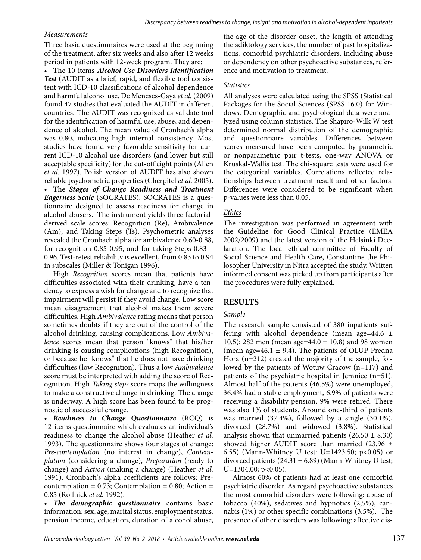## *Measurements*

Three basic questionnaires were used at the beginning of the treatment, after six weeks and also after 12 weeks period in patients with 12-week program. They are:

• The 10-items *Alcohol Use Disorders Identification Test* (AUDIT as a brief, rapid, and flexible tool consistent with ICD-10 classifications of alcohol dependence and harmful alcohol use. De Meneses-Gaya *et al.* (2009) found 47 studies that evaluated the AUDIT in different countries. The AUDIT was recognized as validate tool for the identification of harmful use, abuse, and dependence of alcohol. The mean value of Cronbach's alpha was 0.80, indicating high internal consistency. Most studies have found very favorable sensitivity for current ICD-10 alcohol use disorders (and lower but still acceptable specificity) for the cut-off eight points (Allen *et al.* 1997). Polish version of AUDIT has also shown reliable psychometric properties (Cherpitel *et al.* 2005).

• The *Stages of Change Readiness and Treatment Eagerness Scale* (SOCRATES). SOCRATES is a questionnaire designed to assess readiness for change in alcohol abusers. The instrument yields three factorialderived scale scores: Recognition (Re), Ambivalence (Am), and Taking Steps (Ts). Psychometric analyses revealed the Cronbach alpha for ambivalence 0.60-0.88, for recognition 0.85-0.95, and for taking Steps 0.83 – 0.96. Test-retest reliability is excellent, from 0.83 to 0.94 in subscales (Miller & Tonigan 1996).

High *Recognition* scores mean that patients have difficulties associated with their drinking, have a tendency to express a wish for change and to recognize that impairment will persist if they avoid change. Low score mean disagreement that alcohol makes them severe difficulties. High *Ambivalence* rating means that person sometimes doubts if they are out of the control of the alcohol drinking, causing complications. Low *Ambivalence* scores mean that person "knows" that his/her drinking is causing complications (high Recognition), or because he "knows" that he does not have drinking difficulties (low Recognition). Thus a low *Ambivalence* score must be interpreted with adding the score of Recognition. High *Taking steps* score maps the willingness to make a constructive change in drinking. The change is underway. A high score has been found to be prognostic of successful change.

• *Readiness to Change Questionnaire* (RCQ) is 12-items questionnaire which evaluates an individual's readiness to change the alcohol abuse (Heather *et al.* 1993). The questionnaire shows four stages of change: *Pre-contemplation* (no interest in change), *Contemplation* (considering a change), *Preparation* (ready to change) and *Action* (making a change) (Heather *et al.* 1991). Cronbach's alpha coefficients are follows: Precontemplation =  $0.73$ ; Contemplation =  $0.80$ ; Action = 0.85 (Rollnick *et al.* 1992).

• *The demographic questionnaire* contains basic information: sex, age, marital status, employment status, pension income, education, duration of alcohol abuse, the age of the disorder onset, the length of attending the adiktology services, the number of past hospitalizations, comorbid psychiatric disorders, including abuse or dependency on other psychoactive substances, reference and motivation to treatment.

## *Statistics*

All analyses were calculated using the SPSS (Statistical Packages for the Social Sciences (SPSS 16.0) for Windows. Demographic and psychological data were analyzed using column statistics. The Shapiro-Wilk W test determined normal distribution of the demographic and questionnaire variables. Differences between scores measured have been computed by parametric or nonparametric pair t-tests, one-way ANOVA or Kruskal-Wallis test. The chi-square tests were used for the categorical variables. Correlations reflected relationships between treatment result and other factors. Differences were considered to be significant when p-values were less than 0.05.

# *Ethics*

The investigation was performed in agreement with the Guideline for Good Clinical Practice (EMEA 2002/2009) and the latest version of the Helsinki Declaration. The local ethical committee of Faculty of Social Science and Health Care, Constantine the Philosopher University in Nitra accepted the study. Written informed consent was picked up from participants after the procedures were fully explained.

# **RESULTS**

# *Sample*

The research sample consisted of 380 inpatients suffering with alcohol dependence (mean age=44.6  $\pm$ 10.5); 282 men (mean age=44.0 ± 10.8) and 98 women (mean age=46.1  $\pm$  9.4). The patients of OLUP Predna Hora (n=212) created the majority of the sample, followed by the patients of Wotuw Cracow (n=117) and patients of the psychiatric hospital in Jemnice (n=51). Almost half of the patients (46.5%) were unemployed, 36.4% had a stable employment, 6.9% of patients were receiving a disability pension, 9% were retired. There was also 1% of students. Around one-third of patients was married (37.4%), followed by a single (30.1%), divorced (28.7%) and widowed (3.8%). Statistical analysis shown that unmarried patients  $(26.50 \pm 8.30)$ showed higher AUDIT score than married (23.96  $\pm$ 6.55) (Mann-Whitney U test: U=1423.50; p<0.05) or divorced patients (24.31  $\pm$  6.89) (Mann-Whitney U test;  $U=1304.00; p<0.05$ ).

Almost 60% of patients had at least one comorbid psychiatric disorder. As regard psychoactive substances the most comorbid disorders were following: abuse of tobacco (40%), sedatives and hypnotics (2,5%), cannabis (1%) or other specific combinations (3.5%). The presence of other disorders was following: affective dis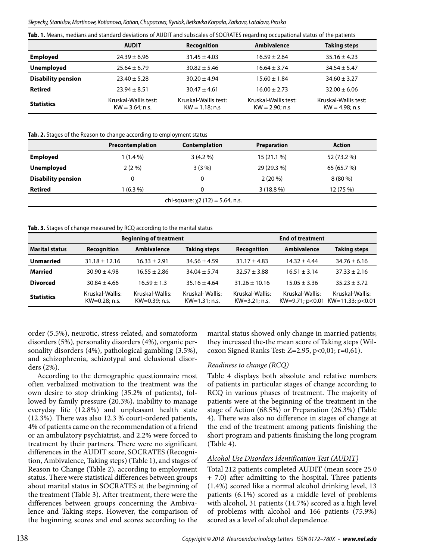Slepecky, Stanislav, Martinove, Kotianova, Kotian, Chupacova, Ryniak, Betkovka Korpala, Zatkova, Latalova, Prasko

|  |  |  |  | Tab. 1. Means, medians and standard deviations of AUDIT and subscales of SOCRATES regarding occupational status of the patients |  |  |  |  |  |  |  |
|--|--|--|--|---------------------------------------------------------------------------------------------------------------------------------|--|--|--|--|--|--|--|
|--|--|--|--|---------------------------------------------------------------------------------------------------------------------------------|--|--|--|--|--|--|--|

|                           | <b>AUDIT</b>                               | Recognition                                | <b>Ambivalence</b>                       | <b>Taking steps</b>                      |
|---------------------------|--------------------------------------------|--------------------------------------------|------------------------------------------|------------------------------------------|
| <b>Employed</b>           | $24.39 \pm 6.96$                           | $31.45 \pm 4.03$                           | $16.59 \pm 2.64$                         | $35.16 \pm 4.23$                         |
| <b>Unemployed</b>         | $25.64 \pm 6.79$                           | $30.82 \pm 5.46$                           | $16.64 \pm 3.74$                         | $34.54 \pm 5.47$                         |
| <b>Disability pension</b> | $23.40 \pm 5.28$                           | $30.20 \pm 4.94$                           | $15.60 \pm 1.84$                         | $34.60 \pm 3.27$                         |
| <b>Retired</b>            | $23.94 \pm 8.51$                           | $30.47 \pm 4.61$                           | $16.00 \pm 2.73$                         | $32.00 \pm 6.06$                         |
| <b>Statistics</b>         | Kruskal-Wallis test:<br>$KW = 3.64$ ; n.s. | Kruskal-Wallis test:<br>$KW = 1.18$ ; n.s. | Kruskal-Wallis test:<br>$KW = 2.90: n.s$ | Kruskal-Wallis test:<br>$KW = 4.98: n.s$ |

#### **Tab. 2.** Stages of the Reason to change according to employment status

|                           | Precontemplation | Contemplation                          | <b>Preparation</b> | <b>Action</b> |
|---------------------------|------------------|----------------------------------------|--------------------|---------------|
| <b>Employed</b>           | 1 (1.4 %)        | 3(4.2%)                                | 15 (21.1 %)        | 52 (73.2 %)   |
| <b>Unemployed</b>         | $2(2\%)$         | $3(3\%)$                               | 29 (29.3 %)        | 65 (65.7 %)   |
| <b>Disability pension</b> | 0                |                                        | $2(20\%)$          | $8(80\%)$     |
| <b>Retired</b>            | $1(6.3\%)$       |                                        | $3(18.8\%)$        | 12 (75 %)     |
|                           |                  | chi-square: $\chi$ 2 (12) = 5.64, n.s. |                    |               |

#### **Tab. 3.** Stages of change measured by RCQ according to the marital status

|                       |                                     | <b>Beginning of treatment</b>    | <b>End of treatment</b>            |                                    |                  |                                                             |
|-----------------------|-------------------------------------|----------------------------------|------------------------------------|------------------------------------|------------------|-------------------------------------------------------------|
| <b>Marital status</b> | Recognition                         | Ambivalence                      | <b>Taking steps</b>                | Recognition                        | Ambivalence      | <b>Taking steps</b>                                         |
| <b>Unmarried</b>      | $31.18 \pm 12.16$                   | $16.33 \pm 2.91$                 | $34.56 \pm 4.59$                   | $31.17 \pm 4.83$                   | $14.32 \pm 4.44$ | $34.76 \pm 6.16$                                            |
| <b>Married</b>        | $30.90 \pm 4.98$                    | $16.55 \pm 2.86$                 | $34.04 \pm 5.74$                   | $32.57 \pm 3.88$                   | $16.51 \pm 3.14$ | $37.33 \pm 2.16$                                            |
| <b>Divorced</b>       | $30.84 \pm 4.66$                    | $16.59 \pm 1.3$                  | $35.16 \pm 4.64$                   | $31.26 \pm 10.16$                  | $15.05 \pm 3.36$ | $35.23 \pm 3.72$                                            |
| <b>Statistics</b>     | Kruskal-Wallis:<br>$KW=0.28$ ; n.s. | Kruskal-Wallis:<br>KW=0.39; n.s. | Kruskal-Wallis:<br>$KW=1.31; n.s.$ | Kruskal-Wallis:<br>$KW=3.21; n.s.$ | Kruskal-Wallis:  | Kruskal-Wallis:<br>KW=9.71; $p < 0.01$ KW=11.33; $p < 0.01$ |

order (5.5%), neurotic, stress-related, and somatoform disorders (5%), personality disorders (4%), organic personality disorders (4%), pathological gambling (3.5%), and schizophrenia, schizotypal and delusional disorders (2%).

According to the demographic questionnaire most often verbalized motivation to the treatment was the own desire to stop drinking (35.2% of patients), followed by family pressure (20.3%), inability to manage everyday life (12.8%) and unpleasant health state (12.3%). There was also 12.3 % court-ordered patients, 4% of patients came on the recommendation of a friend or an ambulatory psychiatrist, and 2.2% were forced to treatment by their partners. There were no significant differences in the AUDIT score, SOCRATES (Recognition, Ambivalence, Taking steps) (Table 1), and stages of Reason to Change (Table 2), according to employment status. There were statistical differences between groups about marital status in SOCRATES at the beginning of the treatment (Table 3). After treatment, there were the differences between groups concerning the Ambivalence and Taking steps. However, the comparison of the beginning scores and end scores according to the

marital status showed only change in married patients; they increased the-the mean score of Taking steps (Wilcoxon Signed Ranks Test: Z=2.95, p<0,01; r=0,61).

## *Readiness to change (RCQ)*

Table 4 displays both absolute and relative numbers of patients in particular stages of change according to RCQ in various phases of treatment. The majority of patients were at the beginning of the treatment in the stage of Action (68.5%) or Preparation (26.3%) (Table 4). There was also no difference in stages of change at the end of the treatment among patients finishing the short program and patients finishing the long program (Table 4).

## *Alcohol Use Disorders Identification Test (AUDIT)*

Total 212 patients completed AUDIT (mean score 25.0 + 7.0) after admitting to the hospital. Three patients (1.4%) scored like a normal alcohol drinking level, 13 patients (6.1%) scored as a middle level of problems with alcohol, 31 patients (14.7%) scored as a high level of problems with alcohol and 166 patients (75.9%) scored as a level of alcohol dependence.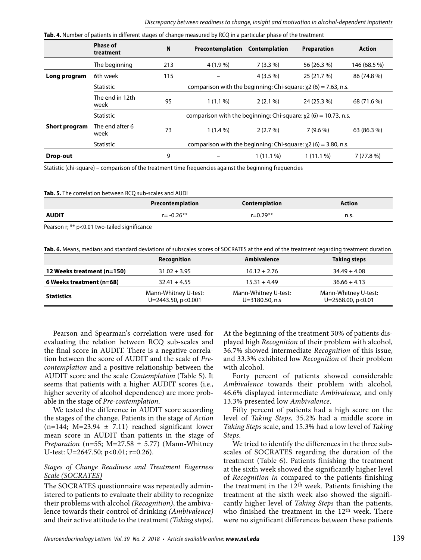|               | <b>180. 4.</b> Number of patients in unferent stages of change measured by KCQ in a particular phase of the treatment |                                                                      |                                                                      |               |             |              |  |  |  |  |
|---------------|-----------------------------------------------------------------------------------------------------------------------|----------------------------------------------------------------------|----------------------------------------------------------------------|---------------|-------------|--------------|--|--|--|--|
|               | <b>Phase of</b><br>treatment                                                                                          | N                                                                    | Precontemplation                                                     | Contemplation | Preparation | Action       |  |  |  |  |
|               | The beginning                                                                                                         | 213                                                                  | 4 (1.9 %)                                                            | $7(3.3\%)$    | 56 (26.3 %) | 146 (68.5 %) |  |  |  |  |
| Long program  | 6th week                                                                                                              | 115                                                                  |                                                                      | $4(3.5\%)$    | 25 (21.7 %) | 86 (74.8 %)  |  |  |  |  |
|               | Statistic                                                                                                             | comparison with the beginning: Chi-square: $\chi$ 2 (6) = 7.63, n.s. |                                                                      |               |             |              |  |  |  |  |
|               | The end in 12th<br>week                                                                                               | 95                                                                   | $1(1.1\%)$                                                           | $2(2.1\%)$    | 24 (25.3 %) | 68 (71.6 %)  |  |  |  |  |
|               | <b>Statistic</b>                                                                                                      | comparison with the beginning: Chi-square: $x^2$ (6) = 10.73, n.s.   |                                                                      |               |             |              |  |  |  |  |
| Short program | The end after 6<br>week                                                                                               | 73                                                                   | $1(1.4\%)$                                                           | 2(2.7%)       | 7(9.6%      | 63 (86.3 %)  |  |  |  |  |
|               | <b>Statistic</b>                                                                                                      |                                                                      | comparison with the beginning: Chi-square: $\chi$ 2 (6) = 3.80, n.s. |               |             |              |  |  |  |  |
| Drop-out      |                                                                                                                       | 9                                                                    |                                                                      | $1(11.1\%)$   | $1(11.1\%)$ | 7(77.8%)     |  |  |  |  |

**Tab. 4.** Number of patients in different stages of change measured by RCQ in a particular phase of the treatment

Statistic (chi-square) – comparison of the treatment time frequencies against the beginning frequencies

**Tab. 5.** The correlation between RCQ sub-scales and AUDI

|              | Precontemplation | Contemplation | Action |
|--------------|------------------|---------------|--------|
| <b>AUDIT</b> | $r = -0.26**$    | $r = 0.29**$  | n.s.   |

Pearson r; \*\* p<0.01 two-tailed significance

**Tab. 6.** Means, medians and standard deviations of subscales scores of SOCRATES at the end of the treatment regarding treatment duration

|                            | Recognition                                     | <b>Ambivalence</b>                          | Taking steps                                    |
|----------------------------|-------------------------------------------------|---------------------------------------------|-------------------------------------------------|
| 12 Weeks treatment (n=150) | $31.02 + 3.95$                                  | $16.12 + 2.76$                              | $34.49 + 4.08$                                  |
| 6 Weeks treatment (n=68)   | $32.41 + 4.55$                                  | $15.31 + 4.49$                              | $36.66 + 4.13$                                  |
| <b>Statistics</b>          | Mann-Whitney U-test:<br>$U = 2443.50$ , p<0.001 | Mann-Whitney U-test:<br>$U = 3180.50$ , n.s | Mann-Whitney U-test:<br>$U = 2568.00, p < 0.01$ |

Pearson and Spearman's correlation were used for evaluating the relation between RCQ sub-scales and the final score in AUDIT. There is a negative correlation between the score of AUDIT and the scale of *Precontemplation* and a positive relationship between the AUDIT score and the scale *Contemplation* (Table 5). It seems that patients with a higher AUDIT scores (i.e., higher severity of alcohol dependence) are more probable in the stage of *Pre-contemplation*.

We tested the difference in AUDIT score according the stages of the change. Patients in the stage of *Action*  $(n=144; M=23.94 \pm 7.11)$  reached significant lower mean score in AUDIT than patients in the stage of *Preparation* (n=55; M=27.58 ± 5.77) (Mann-Whitney U-test: U=2647.50; p<0.01; r=0.26).

## *Stages of Change Readiness and Treatment Eagerness Scale (SOCRATES)*

The SOCRATES questionnaire was repeatedly administered to patients to evaluate their ability to recognize their problems with alcohol *(Recognition)*, the ambivalence towards their control of drinking *(Ambivalence)*  and their active attitude to the treatment *(Taking steps)*.

At the beginning of the treatment 30% of patients displayed high *Recognition* of their problem with alcohol, 36.7% showed intermediate *Recognition* of this issue, and 33.3% exhibited low *Recognition* of their problem with alcohol.

Forty percent of patients showed considerable *Ambivalence* towards their problem with alcohol, 46.6% displayed intermediate *Ambivalence*, and only 13.3% presented low *Ambivalence*.

Fifty percent of patients had a high score on the level of *Taking Steps*, 35.2% had a middle score in *Taking Steps* scale, and 15.3% had a low level of *Taking Steps*.

We tried to identify the differences in the three subscales of SOCRATES regarding the duration of the treatment (Table 6). Patients finishing the treatment at the sixth week showed the significantly higher level of *Recognition in* compared to the patients finishing the treatment in the 12th week. Patients finishing the treatment at the sixth week also showed the significantly higher level of *Taking Steps* than the patients, who finished the treatment in the 12th week. There were no significant differences between these patients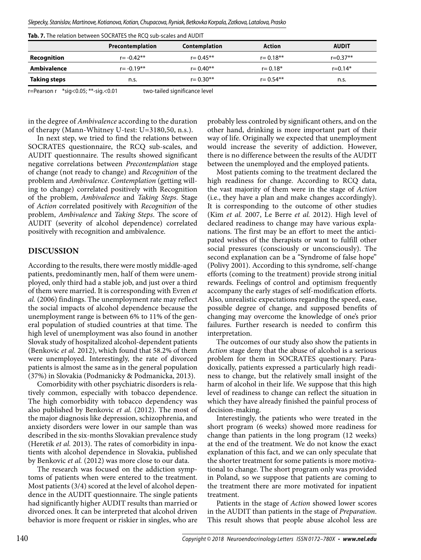|  |  | Slepecky, Stanislav, Martinove, Kotianova, Kotian, Chupacova, Ryniak, Betkovka Korpala, Zatkova, Latalova, Prasko |  |  |  |
|--|--|-------------------------------------------------------------------------------------------------------------------|--|--|--|
|  |  |                                                                                                                   |  |  |  |

|              | <b>ab. 7.</b> The relation between SOCRATES the RCQ sub-scales and AUDIT |               |               |              |  |  |  |  |  |  |
|--------------|--------------------------------------------------------------------------|---------------|---------------|--------------|--|--|--|--|--|--|
|              | Precontemplation                                                         | Contemplation | Action        | <b>AUDIT</b> |  |  |  |  |  |  |
| Recognition  | $r = -0.42**$                                                            | $r = 0.45**$  | $r = 0.18***$ | $r = 0.37**$ |  |  |  |  |  |  |
| Ambivalence  | $r = -0.19**$                                                            | $r = 0.40**$  | $r = 0.18*$   | $r = 0.14*$  |  |  |  |  |  |  |
| Taking steps | n.s.                                                                     | $r = 0.30**$  | $r = 0.54**$  | n.s.         |  |  |  |  |  |  |

**Tab. 7.** The relation between SOCRATES the RCQ sub-scales and AUDIT

r=Pearson r \*sig<0.05; \*\*-sig.<0.01 two-tailed significance level

in the degree of *Ambivalence* according to the duration of therapy (Mann-Whitney U-test: U=3180,50, n.s.).

In next step, we tried to find the relations between SOCRATES questionnaire, the RCQ sub-scales, and AUDIT questionnaire. The results showed significant negative correlations between *Precontemplation* stage of change (not ready to change) and *Recognition* of the problem and *Ambivalence*. *Contemplation* (getting willing to change) correlated positively with Recognition of the problem, *Ambivalence* and *Taking Steps*. Stage of *Action* correlated positively with *Recognition* of the problem, *Ambivalence* and *Taking Steps*. The score of AUDIT (severity of alcohol dependence) correlated positively with recognition and ambivalence.

## **DISCUSSION**

According to the results, there were mostly middle-aged patients, predominantly men, half of them were unemployed, only third had a stable job, and just over a third of them were married. It is corresponding with Evren *et al.* (2006) findings. The unemployment rate may reflect the social impacts of alcohol dependence because the unemployment range is between 6% to 11% of the general population of studied countries at that time. The high level of unemployment was also found in another Slovak study of hospitalized alcohol-dependent patients (Benkovic *et al.* 2012), which found that 58.2% of them were unemployed. Interestingly, the rate of divorced patients is almost the same as in the general population (37%) in Slovakia (Podmanicky & Podmanicka, 2013).

Comorbidity with other psychiatric disorders is relatively common, especially with tobacco dependence. The high comorbidity with tobacco dependency was also published by Benkovic *et al.* (2012). The most of the major diagnosis like depression, schizophrenia, and anxiety disorders were lower in our sample than was described in the six-months Slovakian prevalence study (Heretik *et al.* 2013). The rates of comorbidity in inpatients with alcohol dependence in Slovakia, published by Benkovic *et al.* (2012) was more close to our data.

The research was focused on the addiction symptoms of patients when were entered to the treatment. Most patients (3/4) scored at the level of alcohol dependence in the AUDIT questionnaire. The single patients had significantly higher AUDIT results than married or divorced ones. It can be interpreted that alcohol driven behavior is more frequent or riskier in singles, who are probably less controled by significant others, and on the other hand, drinking is more important part of their way of life. Originally we expected that unemployment would increase the severity of addiction. However, there is no difference between the results of the AUDIT between the unemployed and the employed patients.

Most patients coming to the treatment declared the high readiness for change. According to RCQ data, the vast majority of them were in the stage of *Action* (i.e., they have a plan and make changes accordingly). It is corresponding to the outcome of other studies (Kim *et al.* 2007, Le Berre *et al.* 2012). High level of declared readiness to change may have various explanations. The first may be an effort to meet the anticipated wishes of the therapists or want to fulfill other social pressures (consciously or unconsciously). The second explanation can be a "Syndrome of false hope" (Polivy 2001). According to this syndrome, self-change efforts (coming to the treatment) provide strong initial rewards. Feelings of control and optimism frequently accompany the early stages of self-modification efforts. Also, unrealistic expectations regarding the speed, ease, possible degree of change, and supposed benefits of changing may overcome the knowledge of one's prior failures. Further research is needed to confirm this interpretation.

The outcomes of our study also show the patients in *Action* stage deny that the abuse of alcohol is a serious problem for them in SOCRATES questionary. Paradoxically, patients expressed a particularly high readiness to change, but the relatively small insight of the harm of alcohol in their life. We suppose that this high level of readiness to change can reflect the situation in which they have already finished the painful process of decision-making.

Interestingly, the patients who were treated in the short program (6 weeks) showed more readiness for change than patients in the long program (12 weeks) at the end of the treatment. We do not know the exact explanation of this fact, and we can only speculate that the shorter treatment for some patients is more motivational to change. The short program only was provided in Poland, so we suppose that patients are coming to the treatment there are more motivated for inpatient treatment.

Patients in the stage of *Action* showed lower scores in the AUDIT than patients in the stage of *Preparation*. This result shows that people abuse alcohol less are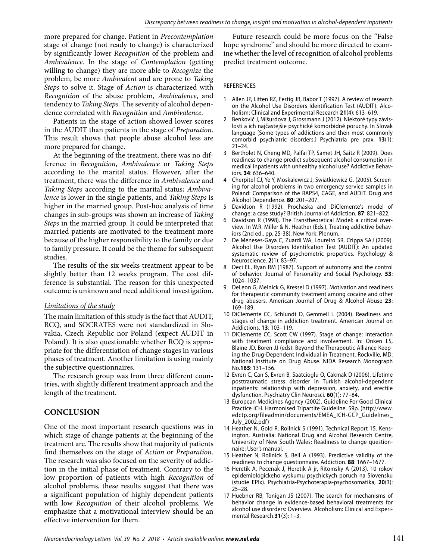more prepared for change. Patient in *Precontemplation* stage of change (not ready to change) is characterized by significantly lower *Recognition* of the problem and *Ambivalence*. In the stage of *Contemplation* (getting willing to change) they are more able to *Recognize* the problem, be more *Ambivalent* and are prone to *Taking Steps* to solve it. Stage of *Action* is characterized with *Recognition* of the abuse problem, *Ambivalence*, and tendency to *Taking Steps*. The severity of alcohol dependence correlated with *Recognition* and *Ambivalence*.

Patients in the stage of action showed lower scores in the AUDIT than patients in the stage of *Preparation*. This result shows that people abuse alcohol less are more prepared for change.

At the beginning of the treatment, there was no difference in *Recognition*, *Ambivalence* or *Taking Steps* according to the marital status. However, after the treatment, there was the difference in *Ambivalence* and *Taking Steps* according to the marital status; *Ambivalence* is lower in the single patients, and *Taking Steps* is higher in the married group. Post-hoc analysis of time changes in sub-groups was shown an increase of *Taking Steps* in the married group. It could be interpreted that married patients are motivated to the treatment more because of the higher responsibility to the family or due to family pressure. It could be the theme for subsequent studies.

The results of the six weeks treatment appear to be slightly better than 12 weeks program. The cost difference is substantial. The reason for this unexpected outcome is unknown and need additional investigation.

## *Limitations of the study*

The main limitation of this study is the fact that AUDIT, RCQ, and SOCRATES were not standardized in Slovakia, Czech Republic nor Poland (expect AUDIT in Poland). It is also questionable whether RCQ is appropriate for the differentiation of change stages in various phases of treatment. Another limitation is using mainly the subjective questionnaires.

The research group was from three different countries, with slightly different treatment approach and the length of the treatment.

# **CONCLUSION**

One of the most important research questions was in which stage of change patients at the beginning of the treatment are. The results show that majority of patients find themselves on the stage of *Action* or *Preparation*. The research was also focused on the severity of addiction in the initial phase of treatment. Contrary to the low proportion of patients with high *Recognition* of alcohol problems, these results suggest that there was a significant population of highly dependent patients with low *Recognition* of their alcohol problems. We emphasize that a motivational interview should be an effective intervention for them.

Future research could be more focus on the "False hope syndrome" and should be more directed to examine whether the level of recognition of alcohol problems predict treatment outcome.

### REFERENCES

- 1 Allen JP, Litten RZ, Fertig JB, Babor T (1997). A review of research on the Alcohol Use Disorders Identification Test (AUDIT). Alcoholism: Clinical and Experimental Research **21**(4): 613–619.
- 2 Benkovič J, Mišurdova J, Grossmann J (2012). Niektoré typy závislosti a ich najčastejšie psychické komorbidné poruchy. In Slovak language [Some types of addictions and their most commonly comorbid psychiatric disorders.] Psychiatria pre prax. **13**(1): 21–24.
- 3 Bertholet N, Cheng MD, Palfai TP, Samet JH, Saitz R (2009). Does readiness to change predict subsequent alcohol consumption in medical inpatients with unhealthy alcohol use? Addictive Behaviors. **34**: 636–640.
- 4 Cherpitel CJ, Ye Y, Moskalewicz J, Swiatkiewicz G. (2005). Screening for alcohol problems in two emergency service samples in Poland: Comparison of the RAPS4, CAGE, and AUDIT. Drug and Alcohol Dependence. **80**: 201–207.
- 5 Davidson R (1992). Prochaska and DiClemente's model of change: a case study? British Journal of Addiction. **87**: 821–822.
- Davidson R (1998). The Transtheoretical Model: a critical overview. In W.R. Miller & N. Heather (Eds.), Treating addictive behaviors (2nd ed., pp. 25-38). New York: Plenum.
- 7 De Meneses-Gaya C, Zuardi WA, Loureiro SR, Crippa SAJ (2009). Alcohol Use Disorders Identifcation Test (AUDIT): An updated systematic review of psychometric properties. Psychology & Neuroscience. **2**(1): 83–97.
- 8 Deci EL, Ryan RM (1987). Support of autonomy and the control of behavior. Journal of Personality and Social Psychology. **53**: 1024–1037.
- 9 DeLeon G, Melnick G, Kressel D (1997). Motivation and readiness for therapeutic community treatment among cocaine and other drug abusers. American Journal of Drug & Alcohol Abuse **23**: 169–189.
- 10 DiClemente CC, Schlundt D, Gemmell L (2004). Readiness and stages of change in addiction treatment. American Journal on Addictions. **13**: 103–119.
- 11 DiClemente CC, Scott CW (1997). Stage of change: Interaction with treatment compliance and involvement. In: Onken LS, Blaine JD, Boren JJ (eds): Beyond the Therapeutic Alliance Keeping the Drug-Dependent Individual in Treatment. Rockville, MD: National Institute on Drug Abuse. NIDA Research Monograph No.**165**: 131–156.
- 12 Evren C, Can S, Evren B, Saatcioglu O, Cakmak D (2006). Lifetime posttraumatic stress disorder in Turkish alcohol-dependent inpatients: relationship with depression, anxiety, and erectile dysfunction. Psychiatry Clin Neurosci. **60**(1): 77–84.
- 13 European Medicines Agency (2002). Guideline For Good Clinical Practice ICH. Harmonised Tripartite Guideline. 59p. (http://www. edctp.org/fileadmin/documents/EMEA\_ICH-GCP\_Guidelines\_ July\_2002.pdf)
- 14 Heather N, Gold R, Rollnick S (1991). Technical Report 15. Kensington, Australia: National Drug and Alcohol Research Centre, University of New South Wales; Readiness to change questionnaire: User's manual.
- 15 Heather N, Rollnick S, Bell A (1993). Predictive validity of the readiness to change questionnaire. Addiction. **88**: 1667–1677.
- 16 Heretik A, Pecenak J, Heretik A jr, Ritomsky A (2013). 10 rokov epidemiologickeho vyskumu psychickych poruch na Slovensku (studie EPIx). Psychiatria-Psychoterapia-psychosomatika, **20**(3): 25–28.
- 17 Huebner RB, Tonigan JS (2007). The search for mechanisms of behavior change in evidence-based behavioral treatments for alcohol use disorders: Overview. Alcoholism: Clinical and Experimental Research.**31**(3): 1–3.